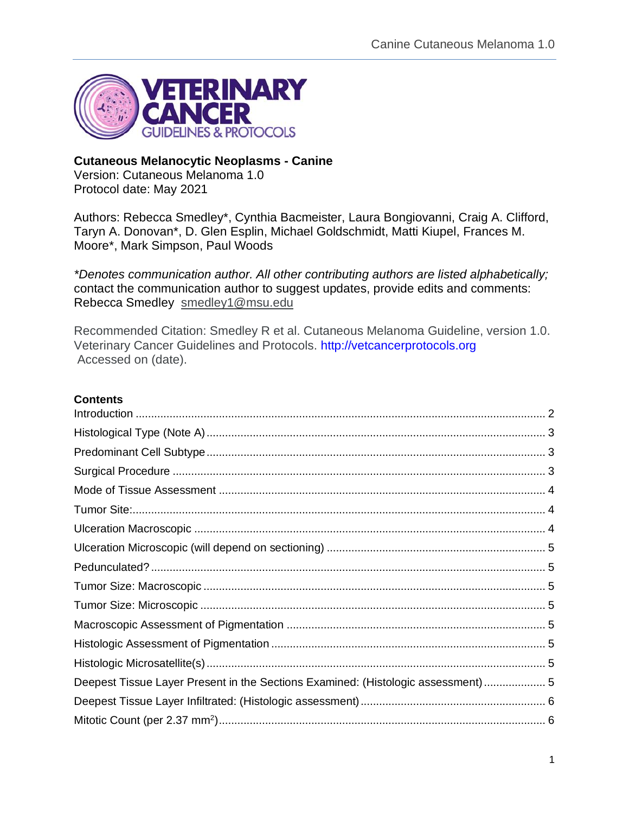

### **Cutaneous Melanocytic Neoplasms - Canine**

Version: Cutaneous Melanoma 1.0 Protocol date: May 2021

Authors: Rebecca Smedley\*, Cynthia Bacmeister, Laura Bongiovanni, Craig A. Clifford, Taryn A. Donovan\*, D. Glen Esplin, Michael Goldschmidt, Matti Kiupel, Frances M. Moore\*, Mark Simpson, Paul Woods

*\*Denotes communication author. All other contributing authors are listed alphabetically;*  contact the communication author to suggest updates, provide edits and comments: Rebecca Smedley [smedley1@msu.edu](mailto:smedley1@msu.edu)

Recommended Citation: Smedley R et al. Cutaneous Melanoma Guideline, version 1.0. Veterinary Cancer Guidelines and Protocols. [http://vetcancerprotocols.org](http://vetcancerprotocols.org/) Accessed on (date).

#### **Contents**

| Deepest Tissue Layer Present in the Sections Examined: (Histologic assessment)  5 |  |
|-----------------------------------------------------------------------------------|--|
|                                                                                   |  |
|                                                                                   |  |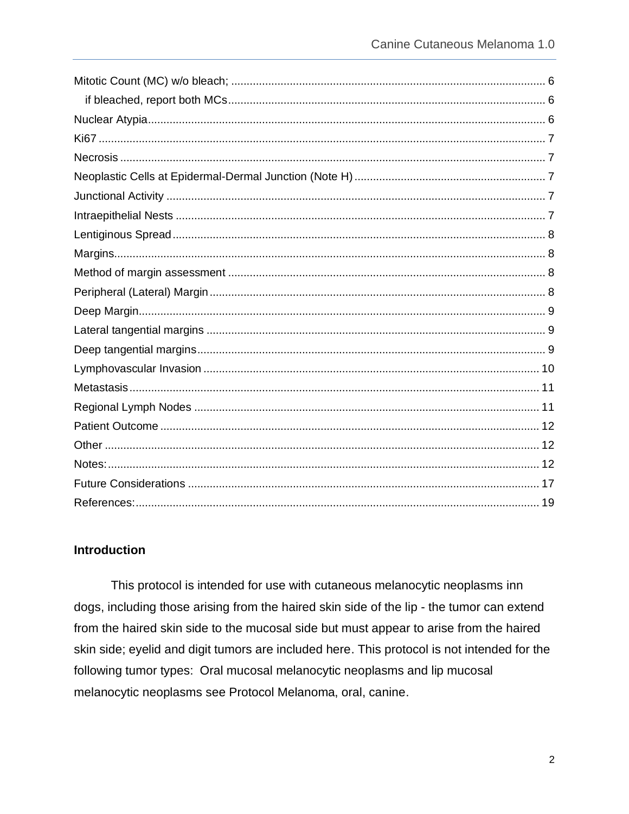### <span id="page-1-0"></span>**Introduction**

This protocol is intended for use with cutaneous melanocytic neoplasms inn dogs, including those arising from the haired skin side of the lip - the tumor can extend from the haired skin side to the mucosal side but must appear to arise from the haired skin side; eyelid and digit tumors are included here. This protocol is not intended for the following tumor types: Oral mucosal melanocytic neoplasms and lip mucosal melanocytic neoplasms see Protocol Melanoma, oral, canine.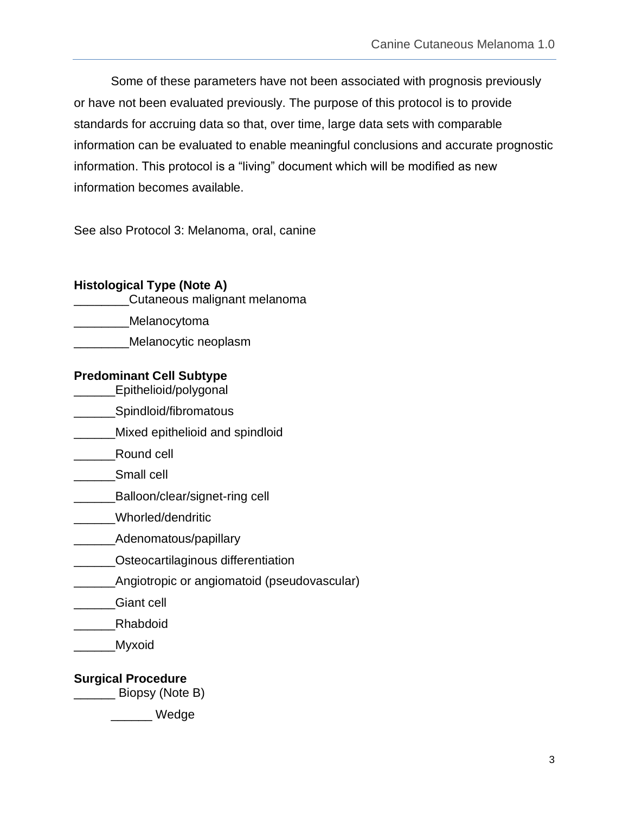Some of these parameters have not been associated with prognosis previously or have not been evaluated previously. The purpose of this protocol is to provide standards for accruing data so that, over time, large data sets with comparable information can be evaluated to enable meaningful conclusions and accurate prognostic information. This protocol is a "living" document which will be modified as new information becomes available.

See also Protocol 3: Melanoma, oral, canine

<span id="page-2-1"></span><span id="page-2-0"></span>

| <b>Histological Type (Note A)</b><br>Cutaneous malignant melanoma |
|-------------------------------------------------------------------|
| Melanocytoma                                                      |
| Melanocytic neoplasm                                              |
| <b>Predominant Cell Subtype</b><br>Epithelioid/polygonal          |
| Spindloid/fibromatous                                             |
| Mixed epithelioid and spindloid                                   |
| Round cell                                                        |
| Small cell                                                        |
| Balloon/clear/signet-ring cell                                    |
| Whorled/dendritic                                                 |
| Adenomatous/papillary                                             |
| Osteocartilaginous differentiation                                |
| Angiotropic or angiomatoid (pseudovascular)                       |
| Giant cell                                                        |
| Rhabdoid                                                          |
| Myxoid                                                            |
| <b>Surgical Procedure</b>                                         |

<span id="page-2-2"></span>\_\_\_\_\_\_ Biopsy (Note B)

\_\_\_\_\_\_ Wedge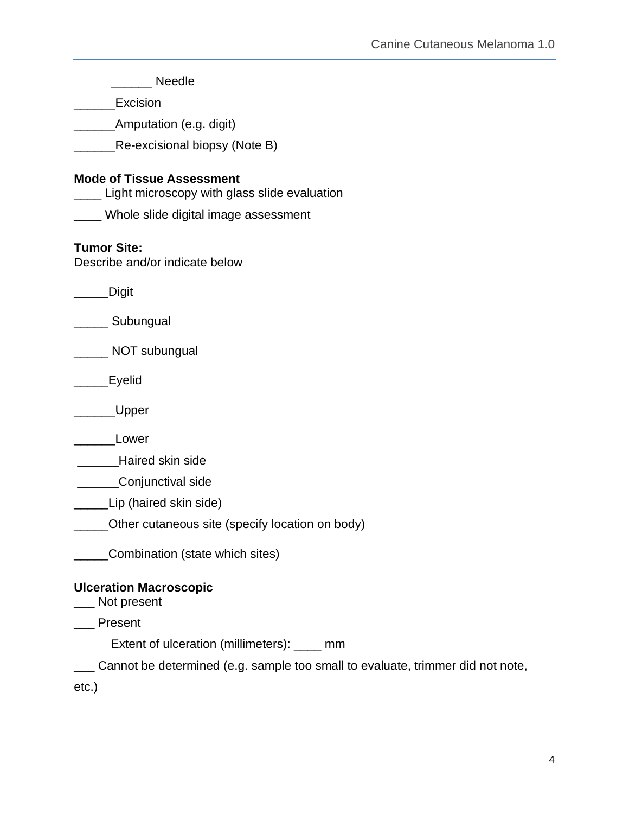<span id="page-3-2"></span><span id="page-3-1"></span><span id="page-3-0"></span>

| <b>Needle</b>                                                                       |
|-------------------------------------------------------------------------------------|
| Excision                                                                            |
| Amputation (e.g. digit)                                                             |
| Re-excisional biopsy (Note B)                                                       |
| <b>Mode of Tissue Assessment</b><br>__ Light microscopy with glass slide evaluation |
| ____ Whole slide digital image assessment                                           |
| <b>Tumor Site:</b><br>Describe and/or indicate below                                |
| Digit                                                                               |
| Subungual                                                                           |
| NOT subungual                                                                       |
| Eyelid                                                                              |
| Upper_                                                                              |
| Lower                                                                               |
| Haired skin side                                                                    |
| Conjunctival side                                                                   |
| Lip (haired skin side)                                                              |
| _Other cutaneous site (specify location on body)                                    |
| Combination (state which sites)                                                     |
| <b>Ulceration Macroscopic</b><br>Not present                                        |
| Present                                                                             |
| Extent of ulceration (millimeters): ____ mm                                         |
| _ Cannot be determined (e.g. sample too small to evaluate, trimmer did not note,    |
| $etc.$ )                                                                            |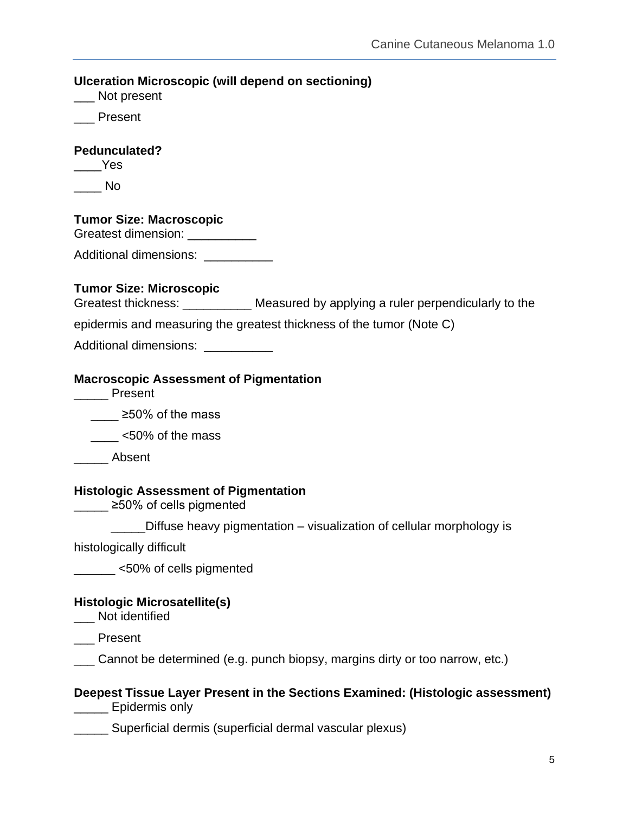<span id="page-4-7"></span><span id="page-4-6"></span><span id="page-4-5"></span><span id="page-4-4"></span><span id="page-4-3"></span><span id="page-4-2"></span><span id="page-4-1"></span><span id="page-4-0"></span>**Ulceration Microscopic (will depend on sectioning)** \_\_\_ Not present \_\_\_ Present **Pedunculated?** \_\_\_\_Yes  $\_\_$  No **Tumor Size: Macroscopic** Greatest dimension: \_\_\_\_\_\_\_\_\_\_\_ Additional dimensions: **Tumor Size: Microscopic**  Greatest thickness: \_\_\_\_\_\_\_\_\_\_\_\_ Measured by applying a ruler perpendicularly to the epidermis and measuring the greatest thickness of the tumor (Note C) Additional dimensions: \_\_\_\_\_\_\_\_\_\_ **Macroscopic Assessment of Pigmentation** \_\_\_\_\_ Present \_\_\_\_ ≥50% of the mass \_\_\_\_ <50% of the mass \_\_\_\_\_ Absent **Histologic Assessment of Pigmentation** \_\_\_\_\_ ≥50% of cells pigmented Diffuse heavy pigmentation – visualization of cellular morphology is histologically difficult \_\_\_\_\_\_ <50% of cells pigmented **Histologic Microsatellite(s)**  Not identified \_\_\_ Present \_\_\_ Cannot be determined (e.g. punch biopsy, margins dirty or too narrow, etc.) **Deepest Tissue Layer Present in the Sections Examined: (Histologic assessment) \_\_\_\_\_\_** Epidermis only \_\_\_\_\_ Superficial dermis (superficial dermal vascular plexus)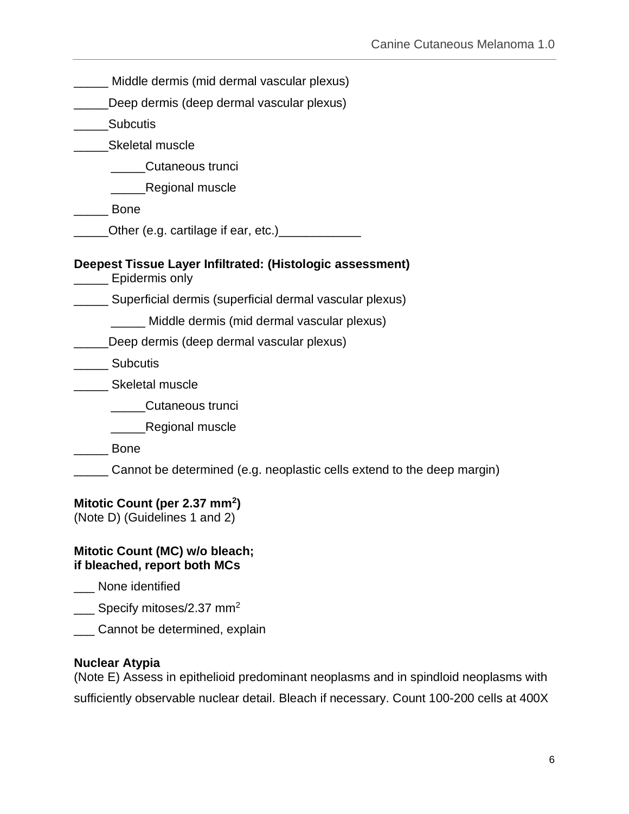<span id="page-5-0"></span>

| Middle dermis (mid dermal vascular plexus)                                  |
|-----------------------------------------------------------------------------|
| Deep dermis (deep dermal vascular plexus)                                   |
| <b>Subcutis</b>                                                             |
| Skeletal muscle                                                             |
| Cutaneous trunci                                                            |
| ____Regional muscle                                                         |
| <b>Bone</b>                                                                 |
|                                                                             |
| Deepest Tissue Layer Infiltrated: (Histologic assessment)<br>Epidermis only |
| Superficial dermis (superficial dermal vascular plexus)                     |
| Middle dermis (mid dermal vascular plexus)                                  |
| Deep dermis (deep dermal vascular plexus)                                   |
| Subcutis                                                                    |
| Skeletal muscle                                                             |
| Cutaneous trunci                                                            |
| Regional muscle                                                             |
| <b>Bone</b>                                                                 |
| Cannot be determined (e.g. neoplastic cells extend to the deep margin)      |
| Mitotic Count (per 2.37 mm <sup>2</sup> )<br>(Note D) (Guidelines 1 and 2)  |
| Mitotic Count (MC) w/o bleach;<br>if bleached, report both MCs              |
| None identified                                                             |
| Specify mitoses/2.37 mm <sup>2</sup>                                        |
| Cannot be determined, explain                                               |
|                                                                             |

## <span id="page-5-4"></span><span id="page-5-3"></span><span id="page-5-2"></span><span id="page-5-1"></span>**Nuclear Atypia**

(Note E) Assess in epithelioid predominant neoplasms and in spindloid neoplasms with sufficiently observable nuclear detail. Bleach if necessary. Count 100-200 cells at 400X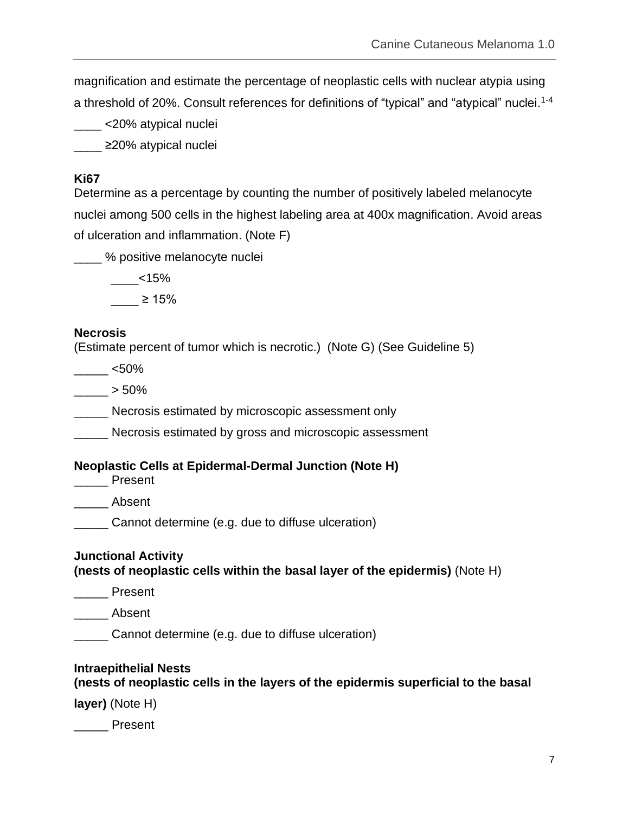magnification and estimate the percentage of neoplastic cells with nuclear atypia using a threshold of 20%. Consult references for definitions of "typical" and "atypical" nuclei.<sup>1-4</sup>

\_\_\_\_ <20% atypical nuclei

\_\_\_\_ ≥20% atypical nuclei

#### <span id="page-6-0"></span>**Ki67**

Determine as a percentage by counting the number of positively labeled melanocyte nuclei among 500 cells in the highest labeling area at 400x magnification. Avoid areas of ulceration and inflammation. (Note F)

\_\_\_\_ % positive melanocyte nuclei

 $< 15\%$ 

 $\geq 15\%$ 

#### <span id="page-6-1"></span>**Necrosis**

(Estimate percent of tumor which is necrotic.) (Note G) (See Guideline 5)

 $-$  <50%

 $> 50\%$ 

\_\_\_\_\_ Necrosis estimated by microscopic assessment only

**Necrosis estimated by gross and microscopic assessment** 

### <span id="page-6-2"></span>**Neoplastic Cells at Epidermal-Dermal Junction (Note H)**

\_\_\_\_\_ Present

Laurent

\_\_\_\_\_ Cannot determine (e.g. due to diffuse ulceration)

#### <span id="page-6-3"></span>**Junctional Activity (nests of neoplastic cells within the basal layer of the epidermis)** (Note H)

\_\_\_\_\_ Present

\_\_\_\_\_ Absent

\_\_\_\_\_ Cannot determine (e.g. due to diffuse ulceration)

### <span id="page-6-4"></span>**Intraepithelial Nests**

# **(nests of neoplastic cells in the layers of the epidermis superficial to the basal**

**layer)** (Note H)

\_\_\_\_\_ Present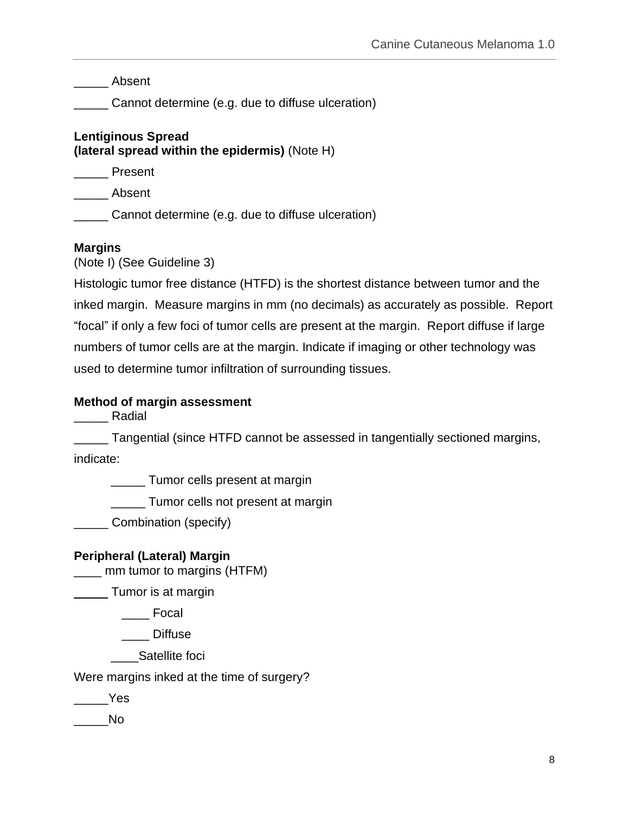\_\_\_\_\_ Absent

\_\_\_\_\_ Cannot determine (e.g. due to diffuse ulceration)

# <span id="page-7-0"></span>**Lentiginous Spread (lateral spread within the epidermis)** (Note H)

\_\_\_\_\_ Present

\_\_\_\_\_ Absent

\_\_\_\_\_ Cannot determine (e.g. due to diffuse ulceration)

# <span id="page-7-1"></span>**Margins**

(Note I) (See Guideline 3)

Histologic tumor free distance (HTFD) is the shortest distance between tumor and the inked margin. Measure margins in mm (no decimals) as accurately as possible. Report "focal" if only a few foci of tumor cells are present at the margin. Report diffuse if large numbers of tumor cells are at the margin. Indicate if imaging or other technology was used to determine tumor infiltration of surrounding tissues.

# <span id="page-7-2"></span>**Method of margin assessment**

\_\_\_\_\_ Radial

\_\_\_\_\_ Tangential (since HTFD cannot be assessed in tangentially sectioned margins, indicate:

\_\_\_\_\_ Tumor cells present at margin

\_\_\_\_\_ Tumor cells not present at margin

\_\_\_\_\_ Combination (specify)

# <span id="page-7-3"></span>**Peripheral (Lateral) Margin**

\_\_\_\_ mm tumor to margins (HTFM)

Tumor is at margin

\_\_\_\_ Focal

\_\_\_\_ Diffuse

Satellite foci

Were margins inked at the time of surgery?

\_\_\_\_\_Yes

 $\blacksquare$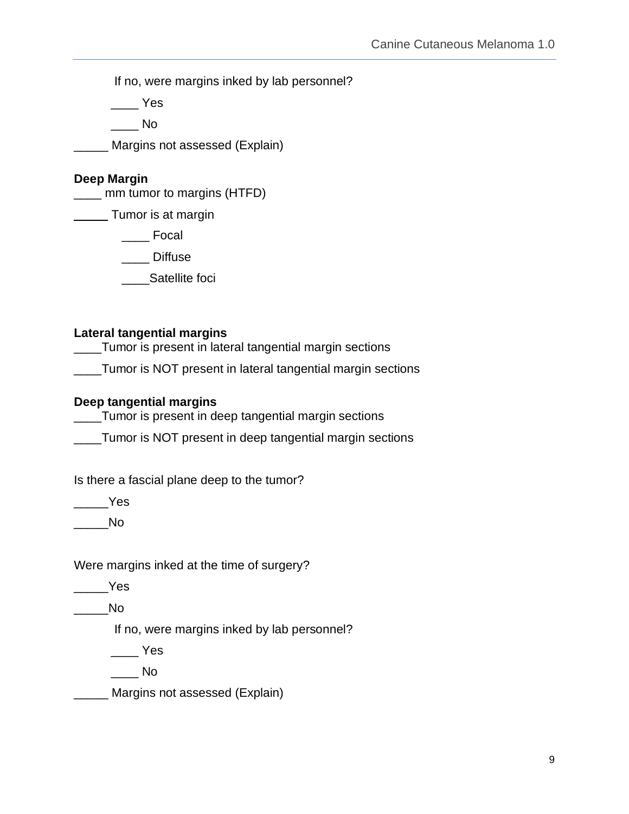If no, were margins inked by lab personnel?

 $\rule{1em}{0.15mm}$  Yes

 $\overline{\phantom{a}}$  No

Margins not assessed (Explain)

#### <span id="page-8-0"></span>**Deep Margin**

\_\_\_\_ mm tumor to margins (HTFD)

Tumor is at margin

\_\_\_\_ Focal

\_\_\_\_ Diffuse

Satellite foci

### <span id="page-8-1"></span>**Lateral tangential margins**

\_\_\_\_Tumor is present in lateral tangential margin sections

\_\_\_\_Tumor is NOT present in lateral tangential margin sections

#### <span id="page-8-2"></span>**Deep tangential margins**

\_\_\_\_Tumor is present in deep tangential margin sections

\_\_\_\_Tumor is NOT present in deep tangential margin sections

Is there a fascial plane deep to the tumor?

 $\rule{1em}{0.15mm}$ Yes

 $\rule{1em}{0.15mm}$ No

### Were margins inked at the time of surgery?

\_\_\_\_\_Yes

 $\overline{\phantom{a}}$  No

If no, were margins inked by lab personnel?

\_\_\_\_ Yes

 $\blacksquare$ 

\_\_\_\_\_ Margins not assessed (Explain)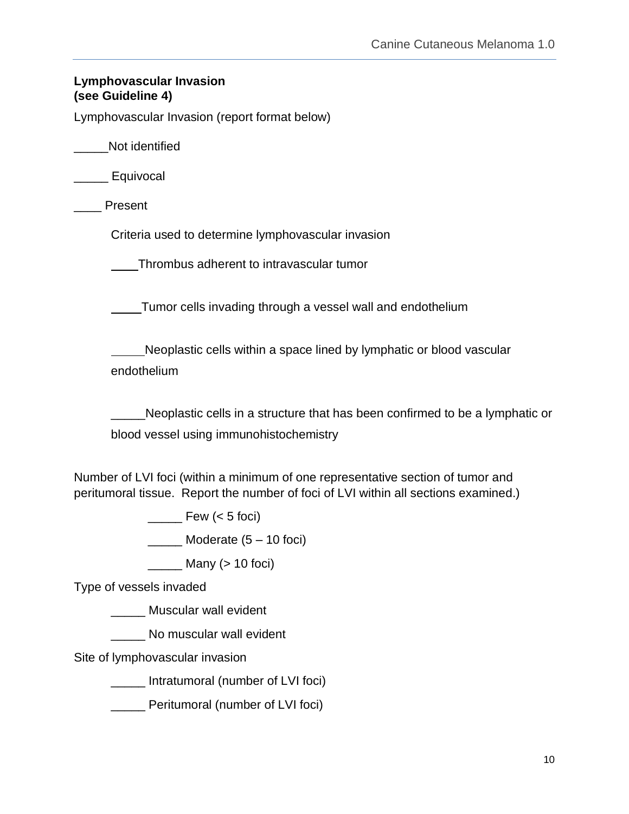# <span id="page-9-0"></span>**Lymphovascular Invasion (see Guideline 4)**

Lymphovascular Invasion (report format below)

\_\_\_\_\_Not identified

\_\_\_\_\_ Equivocal

**Present** 

Criteria used to determine lymphovascular invasion

Thrombus adherent to intravascular tumor

Tumor cells invading through a vessel wall and endothelium

 Neoplastic cells within a space lined by lymphatic or blood vascular endothelium

Neoplastic cells in a structure that has been confirmed to be a lymphatic or blood vessel using immunohistochemistry

Number of LVI foci (within a minimum of one representative section of tumor and peritumoral tissue. Report the number of foci of LVI within all sections examined.)

Few  $(< 5$  foci)

 $\frac{1}{2}$  Moderate  $(5 - 10$  foci)

 $\frac{1}{2}$  Many (> 10 foci)

Type of vessels invaded

\_\_\_\_\_ Muscular wall evident

\_\_\_\_\_ No muscular wall evident

Site of lymphovascular invasion

\_\_\_\_\_ Intratumoral (number of LVI foci)

\_\_\_\_\_ Peritumoral (number of LVI foci)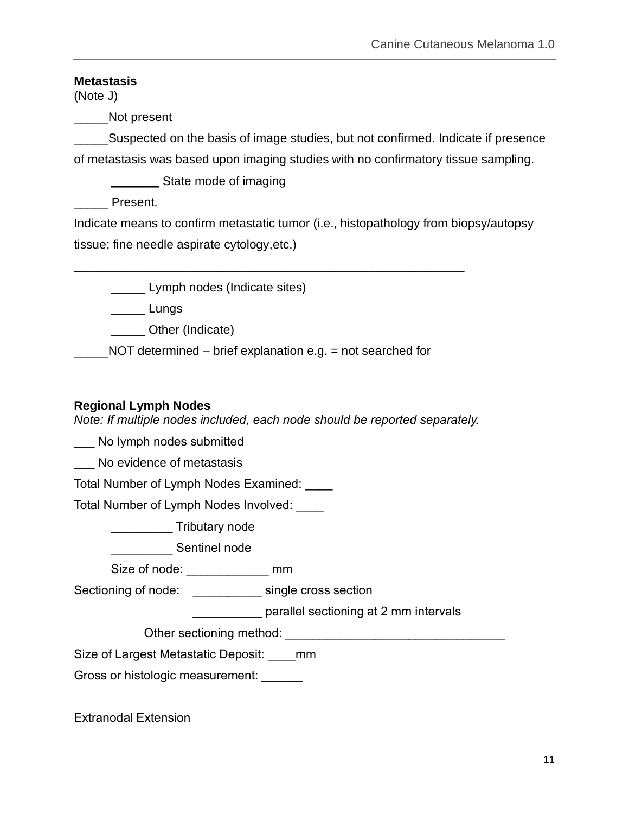# <span id="page-10-0"></span>**Metastasis**

(Note J)

\_\_\_\_\_Not present

\_\_\_\_\_Suspected on the basis of image studies, but not confirmed. Indicate if presence of metastasis was based upon imaging studies with no confirmatory tissue sampling.

\_\_\_\_\_\_\_ State mode of imaging

Present.

Indicate means to confirm metastatic tumor (i.e., histopathology from biopsy/autopsy tissue; fine needle aspirate cytology,etc.)

**\_\_\_\_\_\_** Lymph nodes (Indicate sites)

\_\_\_\_\_ Lungs

\_\_\_\_\_\_ Other (Indicate)

NOT determined – brief explanation e.g. = not searched for

\_\_\_\_\_\_\_\_\_\_\_\_\_\_\_\_\_\_\_\_\_\_\_\_\_\_\_\_\_\_\_\_\_\_\_\_\_\_\_\_\_\_\_\_\_\_\_\_\_\_\_\_\_\_\_\_\_

# <span id="page-10-1"></span>**Regional Lymph Nodes**

*Note: If multiple nodes included, each node should be reported separately.*

No lymph nodes submitted

\_\_\_ No evidence of metastasis

Total Number of Lymph Nodes Examined: \_\_\_\_

Total Number of Lymph Nodes Involved: \_\_\_\_

\_\_\_\_\_\_\_\_\_ Tributary node

**\_\_\_\_\_\_\_\_\_\_\_\_\_** Sentinel node

Size of node: \_\_\_\_\_\_\_\_\_\_\_\_ mm

Sectioning of node: \_\_\_\_\_\_\_\_\_\_\_\_ single cross section

\_\_\_\_\_\_\_\_\_\_ parallel sectioning at 2 mm intervals

Other sectioning method: \_\_\_\_\_\_\_\_\_\_\_\_\_\_\_\_\_\_\_\_\_\_\_\_\_\_\_\_\_\_\_\_

Size of Largest Metastatic Deposit: \_\_\_\_mm

Gross or histologic measurement: \_\_\_\_\_\_\_

Extranodal Extension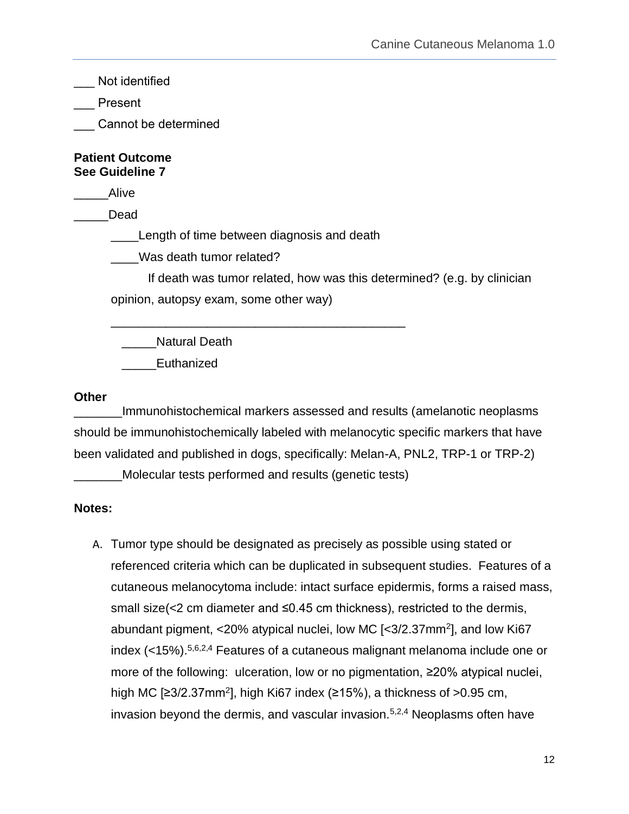\_\_\_ Not identified

\_\_\_ Present

Cannot be determined

#### <span id="page-11-0"></span>**Patient Outcome See Guideline 7**

\_\_\_\_\_Alive

\_\_\_\_\_Dead

**\_\_\_\_Length of time between diagnosis and death** 

\_\_\_\_\_\_\_\_\_\_\_\_\_\_\_\_\_\_\_\_\_\_\_\_\_\_\_\_\_\_\_\_\_\_\_\_\_\_\_\_\_\_\_

Was death tumor related?

If death was tumor related, how was this determined? (e.g. by clinician opinion, autopsy exam, some other way)

\_\_\_\_\_Natural Death

\_\_\_\_\_Euthanized

#### <span id="page-11-1"></span>**Other**

\_\_\_\_\_\_\_Immunohistochemical markers assessed and results (amelanotic neoplasms should be immunohistochemically labeled with melanocytic specific markers that have been validated and published in dogs, specifically: Melan-A, PNL2, TRP-1 or TRP-2)

\_\_\_\_\_\_\_Molecular tests performed and results (genetic tests)

### <span id="page-11-2"></span>**Notes:**

A. Tumor type should be designated as precisely as possible using stated or referenced criteria which can be duplicated in subsequent studies. Features of a cutaneous melanocytoma include: intact surface epidermis, forms a raised mass, small size(<2 cm diameter and ≤0.45 cm thickness), restricted to the dermis, abundant pigment, <20% atypical nuclei, low MC [<3/2.37mm<sup>2</sup>], and low Ki67 index (<15%). 5,6,2,4 Features of a cutaneous malignant melanoma include one or more of the following: ulceration, low or no pigmentation, ≥20% atypical nuclei, high MC [≥3/2.37mm<sup>2</sup>], high Ki67 index (≥15%), a thickness of >0.95 cm, invasion beyond the dermis, and vascular invasion. $5,2,4$  Neoplasms often have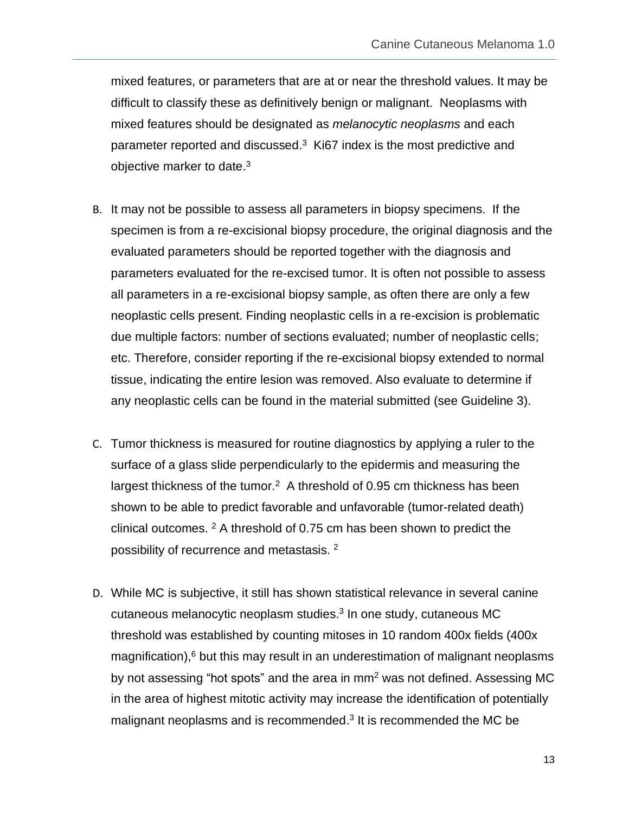mixed features, or parameters that are at or near the threshold values. It may be difficult to classify these as definitively benign or malignant. Neoplasms with mixed features should be designated as *melanocytic neoplasms* and each parameter reported and discussed. $3\,$  Ki67 index is the most predictive and objective marker to date.<sup>3</sup>

- B. It may not be possible to assess all parameters in biopsy specimens. If the specimen is from a re-excisional biopsy procedure, the original diagnosis and the evaluated parameters should be reported together with the diagnosis and parameters evaluated for the re-excised tumor. It is often not possible to assess all parameters in a re-excisional biopsy sample, as often there are only a few neoplastic cells present. Finding neoplastic cells in a re-excision is problematic due multiple factors: number of sections evaluated; number of neoplastic cells; etc. Therefore, consider reporting if the re-excisional biopsy extended to normal tissue, indicating the entire lesion was removed. Also evaluate to determine if any neoplastic cells can be found in the material submitted (see Guideline 3).
- C. Tumor thickness is measured for routine diagnostics by applying a ruler to the surface of a glass slide perpendicularly to the epidermis and measuring the largest thickness of the tumor.<sup>2</sup> A threshold of 0.95 cm thickness has been shown to be able to predict favorable and unfavorable (tumor-related death) clinical outcomes. <sup>2</sup> A threshold of 0.75 cm has been shown to predict the possibility of recurrence and metastasis.<sup>2</sup>
- D. While MC is subjective, it still has shown statistical relevance in several canine cutaneous melanocytic neoplasm studies.<sup>3</sup> In one study, cutaneous MC threshold was established by counting mitoses in 10 random 400x fields (400x magnification),<sup>6</sup> but this may result in an underestimation of malignant neoplasms by not assessing "hot spots" and the area in  $mm<sup>2</sup>$  was not defined. Assessing MC in the area of highest mitotic activity may increase the identification of potentially malignant neoplasms and is recommended.<sup>3</sup> It is recommended the MC be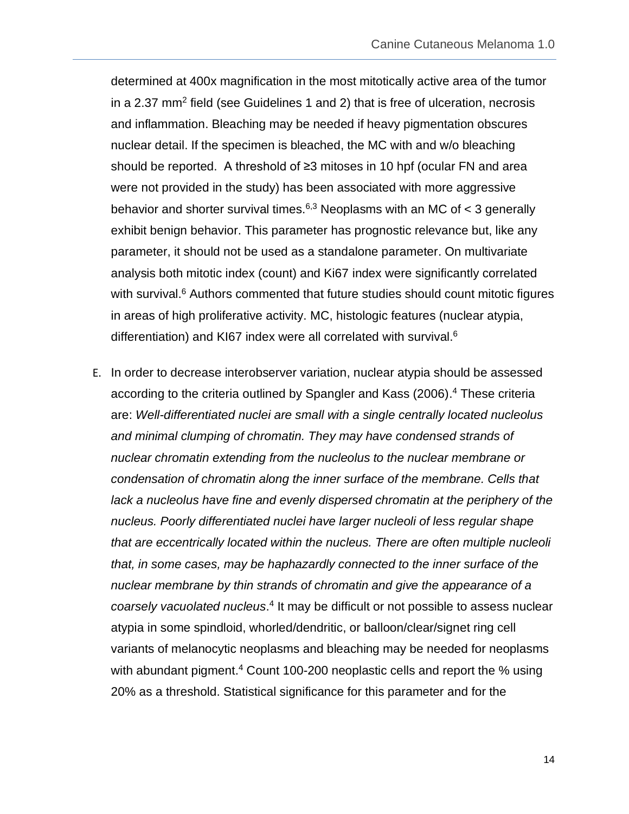determined at 400x magnification in the most mitotically active area of the tumor in a 2.37 mm<sup>2</sup> field (see Guidelines 1 and 2) that is free of ulceration, necrosis and inflammation. Bleaching may be needed if heavy pigmentation obscures nuclear detail. If the specimen is bleached, the MC with and w/o bleaching should be reported. A threshold of ≥3 mitoses in 10 hpf (ocular FN and area were not provided in the study) has been associated with more aggressive behavior and shorter survival times.<sup>6,3</sup> Neoplasms with an MC of  $<$  3 generally exhibit benign behavior. This parameter has prognostic relevance but, like any parameter, it should not be used as a standalone parameter. On multivariate analysis both mitotic index (count) and Ki67 index were significantly correlated with survival.<sup>6</sup> Authors commented that future studies should count mitotic figures in areas of high proliferative activity. MC, histologic features (nuclear atypia, differentiation) and KI67 index were all correlated with survival.<sup>6</sup>

E. In order to decrease interobserver variation, nuclear atypia should be assessed according to the criteria outlined by Spangler and Kass (2006). <sup>4</sup> These criteria are: *Well-differentiated nuclei are small with a single centrally located nucleolus and minimal clumping of chromatin. They may have condensed strands of nuclear chromatin extending from the nucleolus to the nuclear membrane or condensation of chromatin along the inner surface of the membrane. Cells that lack a nucleolus have fine and evenly dispersed chromatin at the periphery of the nucleus. Poorly differentiated nuclei have larger nucleoli of less regular shape that are eccentrically located within the nucleus. There are often multiple nucleoli that, in some cases, may be haphazardly connected to the inner surface of the nuclear membrane by thin strands of chromatin and give the appearance of a*  coarsely vacuolated nucleus.<sup>4</sup> It may be difficult or not possible to assess nuclear atypia in some spindloid, whorled/dendritic, or balloon/clear/signet ring cell variants of melanocytic neoplasms and bleaching may be needed for neoplasms with abundant pigment.<sup>4</sup> Count 100-200 neoplastic cells and report the % using 20% as a threshold. Statistical significance for this parameter and for the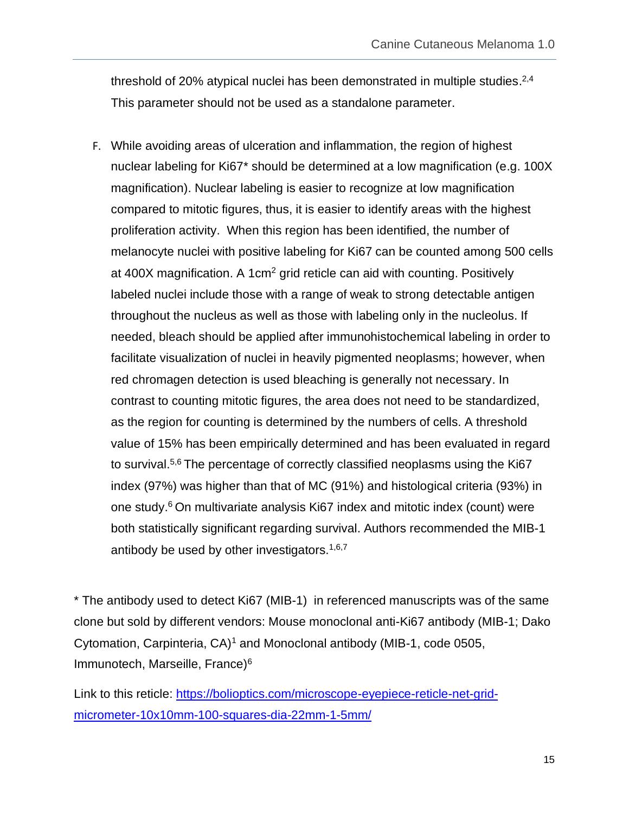threshold of 20% atypical nuclei has been demonstrated in multiple studies.<sup>2,4</sup> This parameter should not be used as a standalone parameter.

F. While avoiding areas of ulceration and inflammation, the region of highest nuclear labeling for Ki67\* should be determined at a low magnification (e.g. 100X magnification). Nuclear labeling is easier to recognize at low magnification compared to mitotic figures, thus, it is easier to identify areas with the highest proliferation activity. When this region has been identified, the number of melanocyte nuclei with positive labeling for Ki67 can be counted among 500 cells at 400X magnification. A 1cm<sup>2</sup> grid reticle can aid with counting. Positively labeled nuclei include those with a range of weak to strong detectable antigen throughout the nucleus as well as those with labeling only in the nucleolus. If needed, bleach should be applied after immunohistochemical labeling in order to facilitate visualization of nuclei in heavily pigmented neoplasms; however, when red chromagen detection is used bleaching is generally not necessary. In contrast to counting mitotic figures, the area does not need to be standardized, as the region for counting is determined by the numbers of cells. A threshold value of 15% has been empirically determined and has been evaluated in regard to survival.<sup>5,6</sup> The percentage of correctly classified neoplasms using the Ki67 index (97%) was higher than that of MC (91%) and histological criteria (93%) in one study.<sup>6</sup> On multivariate analysis Ki67 index and mitotic index (count) were both statistically significant regarding survival. Authors recommended the MIB-1 antibody be used by other investigators.  $1,6,7$ 

\* The antibody used to detect Ki67 (MIB-1) in referenced manuscripts was of the same clone but sold by different vendors: Mouse monoclonal anti-Ki67 antibody (MIB-1; Dako Cytomation, Carpinteria,  $CA$ <sup>1</sup> and Monoclonal antibody (MIB-1, code 0505, Immunotech, Marseille, France)<sup>6</sup>

Link to this reticle: [https://bolioptics.com/microscope-eyepiece-reticle-net-grid](https://bolioptics.com/microscope-eyepiece-reticle-net-grid-micrometer-10x10mm-100-squares-dia-22mm-1-5mm/)[micrometer-10x10mm-100-squares-dia-22mm-1-5mm/](https://bolioptics.com/microscope-eyepiece-reticle-net-grid-micrometer-10x10mm-100-squares-dia-22mm-1-5mm/)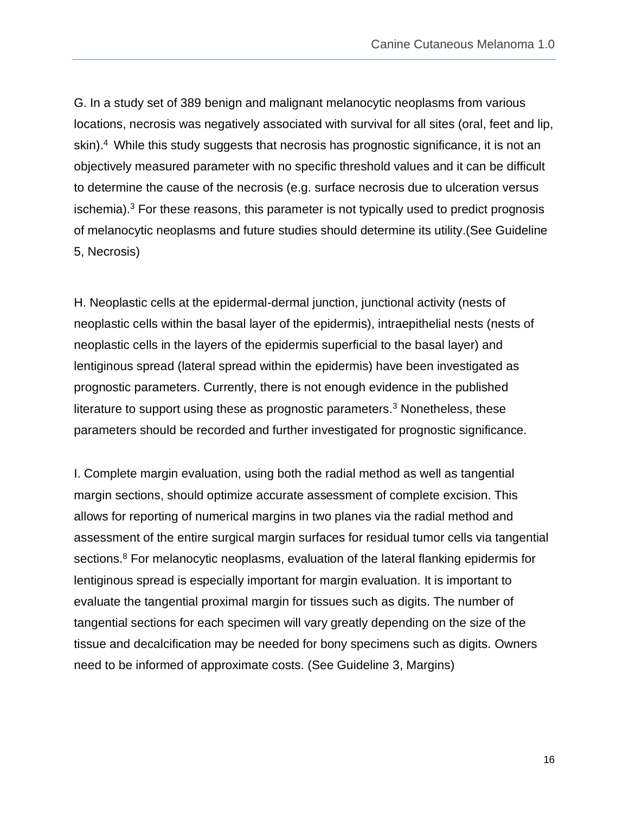G. In a study set of 389 benign and malignant melanocytic neoplasms from various locations, necrosis was negatively associated with survival for all sites (oral, feet and lip, skin). <sup>4</sup> While this study suggests that necrosis has prognostic significance, it is not an objectively measured parameter with no specific threshold values and it can be difficult to determine the cause of the necrosis (e.g. surface necrosis due to ulceration versus ischemia).<sup>3</sup> For these reasons, this parameter is not typically used to predict prognosis of melanocytic neoplasms and future studies should determine its utility.(See Guideline 5, Necrosis)

H. Neoplastic cells at the epidermal-dermal junction, junctional activity (nests of neoplastic cells within the basal layer of the epidermis), intraepithelial nests (nests of neoplastic cells in the layers of the epidermis superficial to the basal layer) and lentiginous spread (lateral spread within the epidermis) have been investigated as prognostic parameters. Currently, there is not enough evidence in the published literature to support using these as prognostic parameters.<sup>3</sup> Nonetheless, these parameters should be recorded and further investigated for prognostic significance.

I. Complete margin evaluation, using both the radial method as well as tangential margin sections, should optimize accurate assessment of complete excision. This allows for reporting of numerical margins in two planes via the radial method and assessment of the entire surgical margin surfaces for residual tumor cells via tangential sections.<sup>8</sup> For melanocytic neoplasms, evaluation of the lateral flanking epidermis for lentiginous spread is especially important for margin evaluation. It is important to evaluate the tangential proximal margin for tissues such as digits. The number of tangential sections for each specimen will vary greatly depending on the size of the tissue and decalcification may be needed for bony specimens such as digits. Owners need to be informed of approximate costs. (See Guideline 3, Margins)

16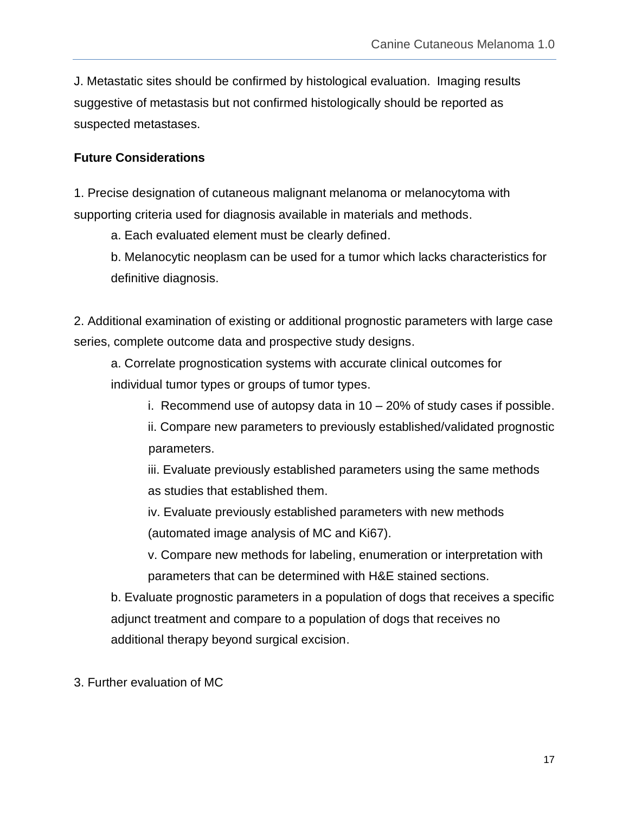J. Metastatic sites should be confirmed by histological evaluation. Imaging results suggestive of metastasis but not confirmed histologically should be reported as suspected metastases.

#### <span id="page-16-0"></span>**Future Considerations**

1. Precise designation of cutaneous malignant melanoma or melanocytoma with supporting criteria used for diagnosis available in materials and methods.

a. Each evaluated element must be clearly defined.

b. Melanocytic neoplasm can be used for a tumor which lacks characteristics for definitive diagnosis.

2. Additional examination of existing or additional prognostic parameters with large case series, complete outcome data and prospective study designs.

a. Correlate prognostication systems with accurate clinical outcomes for individual tumor types or groups of tumor types.

i. Recommend use of autopsy data in 10 – 20% of study cases if possible.

ii. Compare new parameters to previously established/validated prognostic parameters.

iii. Evaluate previously established parameters using the same methods as studies that established them.

iv. Evaluate previously established parameters with new methods (automated image analysis of MC and Ki67).

v. Compare new methods for labeling, enumeration or interpretation with parameters that can be determined with H&E stained sections.

b. Evaluate prognostic parameters in a population of dogs that receives a specific adjunct treatment and compare to a population of dogs that receives no additional therapy beyond surgical excision.

3. Further evaluation of MC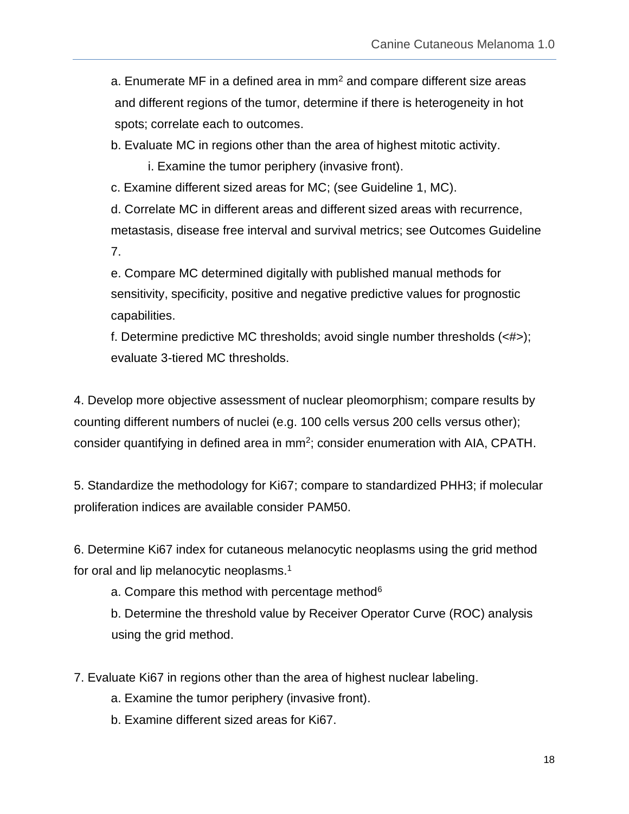a. Enumerate MF in a defined area in  $mm<sup>2</sup>$  and compare different size areas and different regions of the tumor, determine if there is heterogeneity in hot spots; correlate each to outcomes.

b. Evaluate MC in regions other than the area of highest mitotic activity.

i. Examine the tumor periphery (invasive front).

c. Examine different sized areas for MC; (see Guideline 1, MC).

d. Correlate MC in different areas and different sized areas with recurrence, metastasis, disease free interval and survival metrics; see Outcomes Guideline 7.

e. Compare MC determined digitally with published manual methods for sensitivity, specificity, positive and negative predictive values for prognostic capabilities.

f. Determine predictive MC thresholds; avoid single number thresholds (<#>); evaluate 3-tiered MC thresholds.

4. Develop more objective assessment of nuclear pleomorphism; compare results by counting different numbers of nuclei (e.g. 100 cells versus 200 cells versus other); consider quantifying in defined area in  $mm<sup>2</sup>$ ; consider enumeration with AIA, CPATH.

5. Standardize the methodology for Ki67; compare to standardized PHH3; if molecular proliferation indices are available consider PAM50.

6. Determine Ki67 index for cutaneous melanocytic neoplasms using the grid method for oral and lip melanocytic neoplasms.<sup>1</sup>

a. Compare this method with percentage method<sup>6</sup>

b. Determine the threshold value by Receiver Operator Curve (ROC) analysis using the grid method.

7. Evaluate Ki67 in regions other than the area of highest nuclear labeling.

- a. Examine the tumor periphery (invasive front).
- b. Examine different sized areas for Ki67.